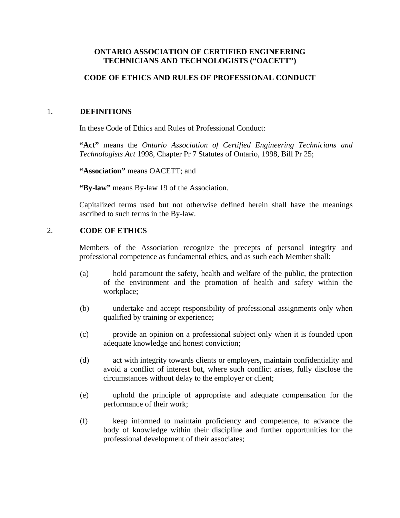## **ONTARIO ASSOCIATION OF CERTIFIED ENGINEERING TECHNICIANS AND TECHNOLOGISTS ("OACETT")**

# **CODE OF ETHICS AND RULES OF PROFESSIONAL CONDUCT**

## 1. **DEFINITIONS**

In these Code of Ethics and Rules of Professional Conduct:

**"Act"** means the *Ontario Association of Certified Engineering Technicians and Technologists Act* 1998, Chapter Pr 7 Statutes of Ontario, 1998, Bill Pr 25;

**"Association"** means OACETT; and

**"By-law"** means By-law 19 of the Association.

Capitalized terms used but not otherwise defined herein shall have the meanings ascribed to such terms in the By-law.

## 2. **CODE OF ETHICS**

Members of the Association recognize the precepts of personal integrity and professional competence as fundamental ethics, and as such each Member shall:

- (a) hold paramount the safety, health and welfare of the public, the protection of the environment and the promotion of health and safety within the workplace;
- (b) undertake and accept responsibility of professional assignments only when qualified by training or experience;
- (c) provide an opinion on a professional subject only when it is founded upon adequate knowledge and honest conviction;
- (d) act with integrity towards clients or employers, maintain confidentiality and avoid a conflict of interest but, where such conflict arises, fully disclose the circumstances without delay to the employer or client;
- (e) uphold the principle of appropriate and adequate compensation for the performance of their work;
- (f) keep informed to maintain proficiency and competence, to advance the body of knowledge within their discipline and further opportunities for the professional development of their associates;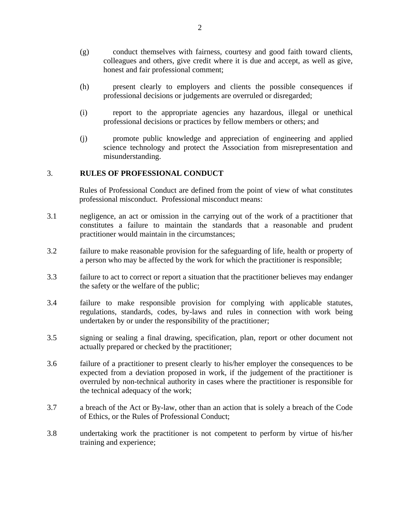- (g) conduct themselves with fairness, courtesy and good faith toward clients, colleagues and others, give credit where it is due and accept, as well as give, honest and fair professional comment;
- (h) present clearly to employers and clients the possible consequences if professional decisions or judgements are overruled or disregarded;
- (i) report to the appropriate agencies any hazardous, illegal or unethical professional decisions or practices by fellow members or others; and
- (j) promote public knowledge and appreciation of engineering and applied science technology and protect the Association from misrepresentation and misunderstanding.

#### 3. **RULES OF PROFESSIONAL CONDUCT**

Rules of Professional Conduct are defined from the point of view of what constitutes professional misconduct. Professional misconduct means:

- 3.1 negligence, an act or omission in the carrying out of the work of a practitioner that constitutes a failure to maintain the standards that a reasonable and prudent practitioner would maintain in the circumstances;
- 3.2 failure to make reasonable provision for the safeguarding of life, health or property of a person who may be affected by the work for which the practitioner is responsible;
- 3.3 failure to act to correct or report a situation that the practitioner believes may endanger the safety or the welfare of the public;
- 3.4 failure to make responsible provision for complying with applicable statutes, regulations, standards, codes, by-laws and rules in connection with work being undertaken by or under the responsibility of the practitioner;
- 3.5 signing or sealing a final drawing, specification, plan, report or other document not actually prepared or checked by the practitioner;
- 3.6 failure of a practitioner to present clearly to his/her employer the consequences to be expected from a deviation proposed in work, if the judgement of the practitioner is overruled by non-technical authority in cases where the practitioner is responsible for the technical adequacy of the work;
- 3.7 a breach of the Act or By-law, other than an action that is solely a breach of the Code of Ethics, or the Rules of Professional Conduct;
- 3.8 undertaking work the practitioner is not competent to perform by virtue of his/her training and experience;